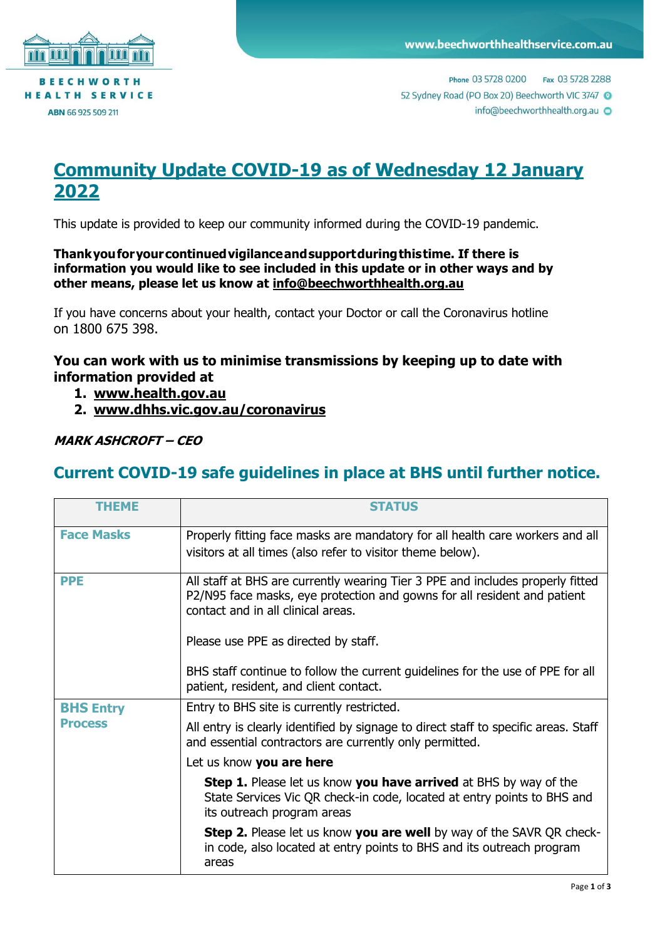

Phone 03 5728 0200 Fax 03 5728 2288 52 Sydney Road (PO Box 20) Beechworth VIC 3747 info@beechworthhealth.org.au @

## **Community Update COVID-19 as of Wednesday 12 January 2022**

This update is provided to keep our community informed during the COVID-19 pandemic.

**Thankyouforyourcontinuedvigilanceandsupportduringthistime. If there is information you would like to see included in this update or in other ways and by other means, please let us know at [info@beechworthhealth.org.au](mailto:info@beechworthhealth.org.au)**

If you have concerns about your health, contact your Doctor or call the Coronavirus hotline on 1800 675 398.

## **You can work with us to minimise transmissions by keeping up to date with information provided at**

- **1. [www.health.gov.au](http://www.health.gov.au/)**
- **2. [www.dhhs.vic.gov.au/coronavirus](http://www.dhhs.vic.gov.au/coronavirus)**

## **MARK ASHCROFT – CEO**

## **Current COVID-19 safe guidelines in place at BHS until further notice.**

| <b>THEME</b>                       | <b>STATUS</b>                                                                                                                                                                                                                            |
|------------------------------------|------------------------------------------------------------------------------------------------------------------------------------------------------------------------------------------------------------------------------------------|
| <b>Face Masks</b>                  | Properly fitting face masks are mandatory for all health care workers and all<br>visitors at all times (also refer to visitor theme below).                                                                                              |
| <b>PPE</b>                         | All staff at BHS are currently wearing Tier 3 PPE and includes properly fitted<br>P2/N95 face masks, eye protection and gowns for all resident and patient<br>contact and in all clinical areas.<br>Please use PPE as directed by staff. |
|                                    | BHS staff continue to follow the current guidelines for the use of PPE for all<br>patient, resident, and client contact.                                                                                                                 |
| <b>BHS Entry</b><br><b>Process</b> | Entry to BHS site is currently restricted.                                                                                                                                                                                               |
|                                    | All entry is clearly identified by signage to direct staff to specific areas. Staff<br>and essential contractors are currently only permitted.                                                                                           |
|                                    | Let us know you are here                                                                                                                                                                                                                 |
|                                    | <b>Step 1.</b> Please let us know you have arrived at BHS by way of the<br>State Services Vic QR check-in code, located at entry points to BHS and<br>its outreach program areas                                                         |
|                                    | <b>Step 2.</b> Please let us know you are well by way of the SAVR QR check-<br>in code, also located at entry points to BHS and its outreach program<br>areas                                                                            |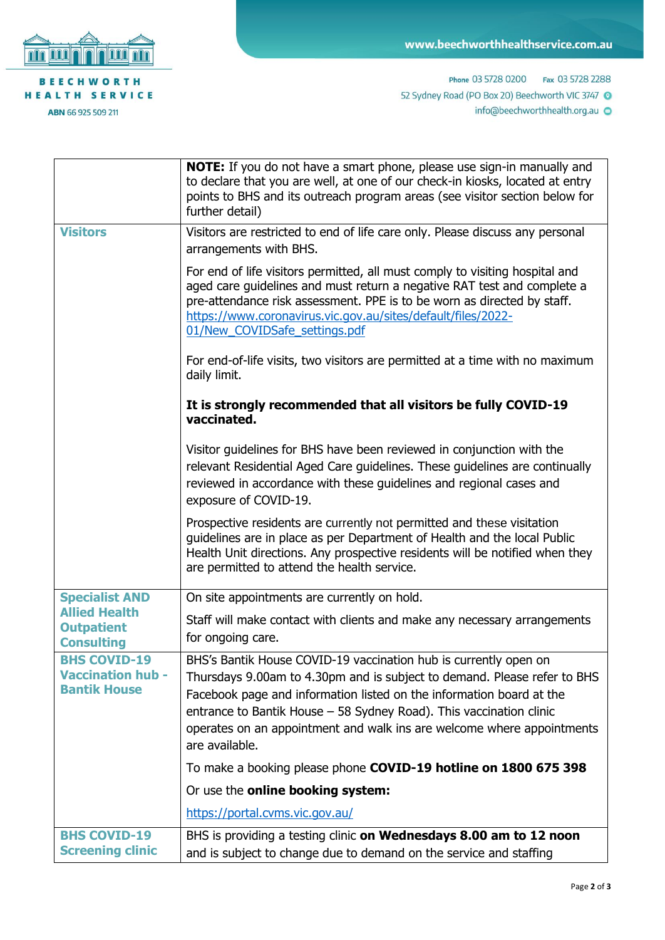

ABN 66 925 509 211

Phone 03 5728 0200 Fax 03 5728 2288 52 Sydney Road (PO Box 20) Beechworth VIC 3747 O info@beechworthhealth.org.au

|                                                                        | <b>NOTE:</b> If you do not have a smart phone, please use sign-in manually and<br>to declare that you are well, at one of our check-in kiosks, located at entry<br>points to BHS and its outreach program areas (see visitor section below for<br>further detail)                                                                                                                       |
|------------------------------------------------------------------------|-----------------------------------------------------------------------------------------------------------------------------------------------------------------------------------------------------------------------------------------------------------------------------------------------------------------------------------------------------------------------------------------|
| <b>Visitors</b>                                                        | Visitors are restricted to end of life care only. Please discuss any personal<br>arrangements with BHS.                                                                                                                                                                                                                                                                                 |
|                                                                        | For end of life visitors permitted, all must comply to visiting hospital and<br>aged care guidelines and must return a negative RAT test and complete a<br>pre-attendance risk assessment. PPE is to be worn as directed by staff.<br>https://www.coronavirus.vic.gov.au/sites/default/files/2022-<br>01/New COVIDSafe settings.pdf                                                     |
|                                                                        | For end-of-life visits, two visitors are permitted at a time with no maximum<br>daily limit.                                                                                                                                                                                                                                                                                            |
|                                                                        | It is strongly recommended that all visitors be fully COVID-19<br>vaccinated.                                                                                                                                                                                                                                                                                                           |
|                                                                        | Visitor guidelines for BHS have been reviewed in conjunction with the<br>relevant Residential Aged Care guidelines. These guidelines are continually<br>reviewed in accordance with these guidelines and regional cases and<br>exposure of COVID-19.                                                                                                                                    |
|                                                                        | Prospective residents are currently not permitted and these visitation<br>guidelines are in place as per Department of Health and the local Public<br>Health Unit directions. Any prospective residents will be notified when they<br>are permitted to attend the health service.                                                                                                       |
| <b>Specialist AND</b>                                                  | On site appointments are currently on hold.                                                                                                                                                                                                                                                                                                                                             |
| <b>Allied Health</b><br><b>Outpatient</b><br><b>Consulting</b>         | Staff will make contact with clients and make any necessary arrangements<br>for ongoing care.                                                                                                                                                                                                                                                                                           |
| <b>BHS COVID-19</b><br><b>Vaccination hub -</b><br><b>Bantik House</b> | BHS's Bantik House COVID-19 vaccination hub is currently open on<br>Thursdays 9.00am to 4.30pm and is subject to demand. Please refer to BHS<br>Facebook page and information listed on the information board at the<br>entrance to Bantik House - 58 Sydney Road). This vaccination clinic<br>operates on an appointment and walk ins are welcome where appointments<br>are available. |
|                                                                        | To make a booking please phone COVID-19 hotline on 1800 675 398                                                                                                                                                                                                                                                                                                                         |
|                                                                        | Or use the online booking system:                                                                                                                                                                                                                                                                                                                                                       |
|                                                                        | https://portal.cvms.vic.gov.au/                                                                                                                                                                                                                                                                                                                                                         |
| <b>BHS COVID-19</b><br><b>Screening clinic</b>                         | BHS is providing a testing clinic on Wednesdays 8.00 am to 12 noon<br>and is subject to change due to demand on the service and staffing                                                                                                                                                                                                                                                |